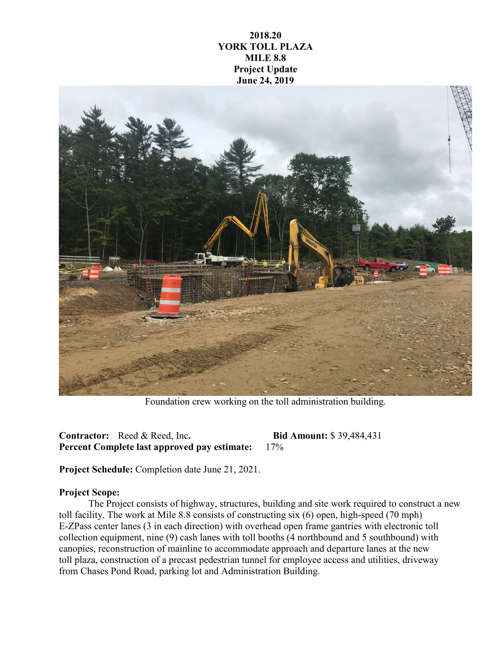## **2018.20 YORK TOLL PLAZA MILE 8.8 Project Update June 24, 2019**



Foundation crew working on the toll administration building.

**Contractor:** Reed & Reed, Inc**. Bid Amount:** \$ 39,484,431 **Percent Complete last approved pay estimate:** 17%

**Project Schedule:** Completion date June 21, 2021.

## **Project Scope:**

The Project consists of highway, structures, building and site work required to construct a new toll facility. The work at Mile 8.8 consists of constructing six (6) open, high-speed (70 mph) E-ZPass center lanes (3 in each direction) with overhead open frame gantries with electronic toll collection equipment, nine (9) cash lanes with toll booths (4 northbound and 5 southbound) with canopies, reconstruction of mainline to accommodate approach and departure lanes at the new toll plaza, construction of a precast pedestrian tunnel for employee access and utilities, driveway from Chases Pond Road, parking lot and Administration Building.